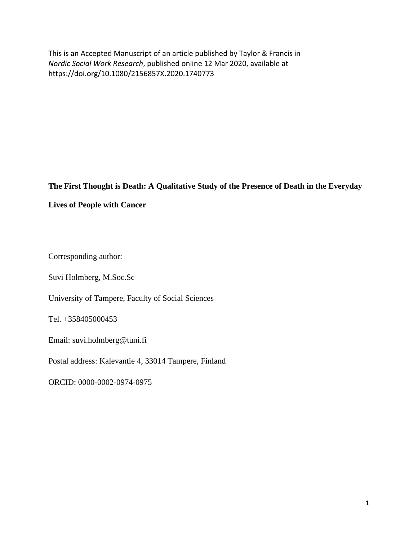This is an Accepted Manuscript of an article published by Taylor & Francis in *Nordic Social Work Research*, published online 12 Mar 2020, available at https://doi.org/10.1080/2156857X.2020.1740773

# **The First Thought is Death: A Qualitative Study of the Presence of Death in the Everyday**

**Lives of People with Cancer**

Corresponding author:

Suvi Holmberg, M.Soc.Sc

University of Tampere, Faculty of Social Sciences

Tel. +358405000453

Email: suvi.holmberg@tuni.fi

Postal address: Kalevantie 4, 33014 Tampere, Finland

ORCID: 0000-0002-0974-0975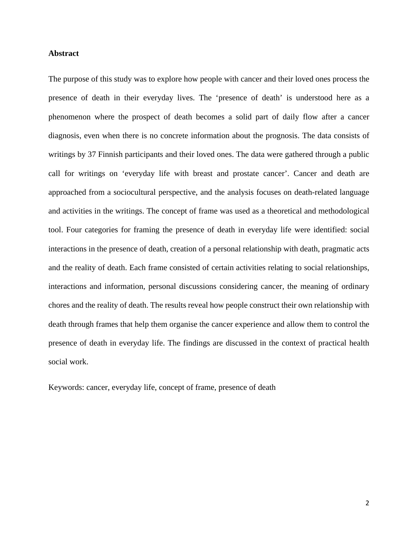#### **Abstract**

The purpose of this study was to explore how people with cancer and their loved ones process the presence of death in their everyday lives. The 'presence of death' is understood here as a phenomenon where the prospect of death becomes a solid part of daily flow after a cancer diagnosis, even when there is no concrete information about the prognosis. The data consists of writings by 37 Finnish participants and their loved ones. The data were gathered through a public call for writings on 'everyday life with breast and prostate cancer'. Cancer and death are approached from a sociocultural perspective, and the analysis focuses on death-related language and activities in the writings. The concept of frame was used as a theoretical and methodological tool. Four categories for framing the presence of death in everyday life were identified: social interactions in the presence of death, creation of a personal relationship with death, pragmatic acts and the reality of death. Each frame consisted of certain activities relating to social relationships, interactions and information, personal discussions considering cancer, the meaning of ordinary chores and the reality of death. The results reveal how people construct their own relationship with death through frames that help them organise the cancer experience and allow them to control the presence of death in everyday life. The findings are discussed in the context of practical health social work.

Keywords: cancer, everyday life, concept of frame, presence of death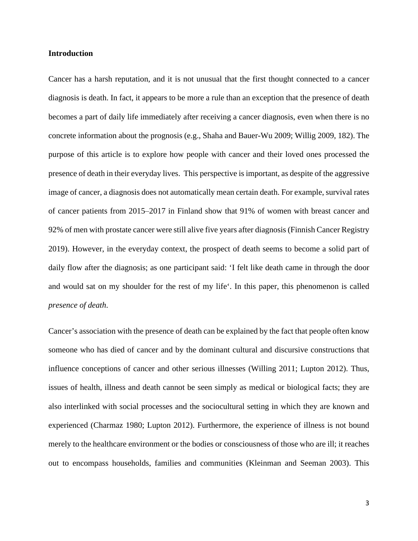#### **Introduction**

Cancer has a harsh reputation, and it is not unusual that the first thought connected to a cancer diagnosis is death. In fact, it appears to be more a rule than an exception that the presence of death becomes a part of daily life immediately after receiving a cancer diagnosis, even when there is no concrete information about the prognosis (e.g., Shaha and Bauer-Wu 2009; Willig 2009, 182). The purpose of this article is to explore how people with cancer and their loved ones processed the presence of death in their everyday lives. This perspective is important, as despite of the aggressive image of cancer, a diagnosis does not automatically mean certain death. For example, survival rates of cancer patients from 2015–2017 in Finland show that 91% of women with breast cancer and 92% of men with prostate cancer were still alive five years after diagnosis (Finnish Cancer Registry 2019). However, in the everyday context, the prospect of death seems to become a solid part of daily flow after the diagnosis; as one participant said: 'I felt like death came in through the door and would sat on my shoulder for the rest of my life'. In this paper, this phenomenon is called *presence of death*.

Cancer's association with the presence of death can be explained by the fact that people often know someone who has died of cancer and by the dominant cultural and discursive constructions that influence conceptions of cancer and other serious illnesses (Willing 2011; Lupton 2012). Thus, issues of health, illness and death cannot be seen simply as medical or biological facts; they are also interlinked with social processes and the sociocultural setting in which they are known and experienced (Charmaz 1980; Lupton 2012). Furthermore, the experience of illness is not bound merely to the healthcare environment or the bodies or consciousness of those who are ill; it reaches out to encompass households, families and communities (Kleinman and Seeman 2003). This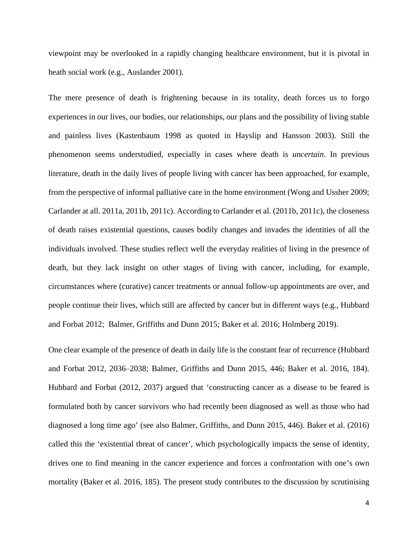viewpoint may be overlooked in a rapidly changing healthcare environment, but it is pivotal in heath social work (e.g., Auslander 2001).

The mere presence of death is frightening because in its totality, death forces us to forgo experiences in our lives, our bodies, our relationships, our plans and the possibility of living stable and painless lives (Kastenbaum 1998 as quoted in Hayslip and Hansson 2003). Still the phenomenon seems understudied, especially in cases where death is *uncertain*. In previous literature, death in the daily lives of people living with cancer has been approached, for example, from the perspective of informal palliative care in the home environment (Wong and Ussher 2009; Carlander at all. 2011a, 2011b, 2011c). According to Carlander et al. (2011b, 2011c), the closeness of death raises existential questions, causes bodily changes and invades the identities of all the individuals involved. These studies reflect well the everyday realities of living in the presence of death, but they lack insight on other stages of living with cancer, including, for example, circumstances where (curative) cancer treatments or annual follow-up appointments are over, and people continue their lives, which still are affected by cancer but in different ways (e.g., Hubbard and Forbat 2012; Balmer, Griffiths and Dunn 2015; Baker et al. 2016; Holmberg 2019).

One clear example of the presence of death in daily life is the constant fear of recurrence (Hubbard and Forbat 2012, 2036–2038; Balmer, Griffiths and Dunn 2015, 446; Baker et al. 2016, 184). Hubbard and Forbat (2012, 2037) argued that 'constructing cancer as a disease to be feared is formulated both by cancer survivors who had recently been diagnosed as well as those who had diagnosed a long time ago' (see also Balmer, Griffiths, and Dunn 2015, 446). Baker et al. (2016) called this the 'existential threat of cancer', which psychologically impacts the sense of identity, drives one to find meaning in the cancer experience and forces a confrontation with one's own mortality (Baker et al. 2016, 185). The present study contributes to the discussion by scrutinising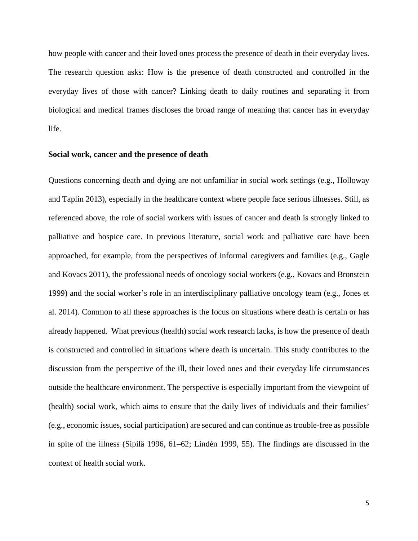how people with cancer and their loved ones process the presence of death in their everyday lives. The research question asks: How is the presence of death constructed and controlled in the everyday lives of those with cancer? Linking death to daily routines and separating it from biological and medical frames discloses the broad range of meaning that cancer has in everyday life.

#### **Social work, cancer and the presence of death**

Questions concerning death and dying are not unfamiliar in social work settings (e.g., Holloway and Taplin 2013), especially in the healthcare context where people face serious illnesses. Still, as referenced above, the role of social workers with issues of cancer and death is strongly linked to palliative and hospice care. In previous literature, social work and palliative care have been approached, for example, from the perspectives of informal caregivers and families (e.g., Gagle and Kovacs 2011), the professional needs of oncology social workers (e.g., Kovacs and Bronstein 1999) and the social worker's role in an interdisciplinary palliative oncology team (e.g., Jones et al. 2014). Common to all these approaches is the focus on situations where death is certain or has already happened. What previous (health) social work research lacks, is how the presence of death is constructed and controlled in situations where death is uncertain. This study contributes to the discussion from the perspective of the ill, their loved ones and their everyday life circumstances outside the healthcare environment. The perspective is especially important from the viewpoint of (health) social work, which aims to ensure that the daily lives of individuals and their families' (e.g., economic issues, social participation) are secured and can continue as trouble-free as possible in spite of the illness (Sipilä 1996, 61–62; Lindén 1999, 55). The findings are discussed in the context of health social work.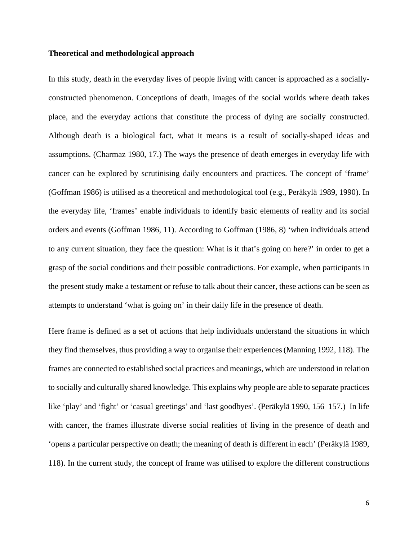#### **Theoretical and methodological approach**

In this study, death in the everyday lives of people living with cancer is approached as a sociallyconstructed phenomenon. Conceptions of death, images of the social worlds where death takes place, and the everyday actions that constitute the process of dying are socially constructed. Although death is a biological fact, what it means is a result of socially-shaped ideas and assumptions. (Charmaz 1980, 17.) The ways the presence of death emerges in everyday life with cancer can be explored by scrutinising daily encounters and practices. The concept of 'frame' (Goffman 1986) is utilised as a theoretical and methodological tool (e.g., Peräkylä 1989, 1990). In the everyday life, 'frames' enable individuals to identify basic elements of reality and its social orders and events (Goffman 1986, 11). According to Goffman (1986, 8) 'when individuals attend to any current situation, they face the question: What is it that's going on here?' in order to get a grasp of the social conditions and their possible contradictions. For example, when participants in the present study make a testament or refuse to talk about their cancer, these actions can be seen as attempts to understand 'what is going on' in their daily life in the presence of death.

Here frame is defined as a set of actions that help individuals understand the situations in which they find themselves, thus providing a way to organise their experiences(Manning 1992, 118). The frames are connected to established social practices and meanings, which are understood in relation to socially and culturally shared knowledge. This explains why people are able to separate practices like 'play' and 'fight' or 'casual greetings' and 'last goodbyes'. (Peräkylä 1990, 156–157.) In life with cancer, the frames illustrate diverse social realities of living in the presence of death and 'opens a particular perspective on death; the meaning of death is different in each' (Peräkylä 1989, 118). In the current study, the concept of frame was utilised to explore the different constructions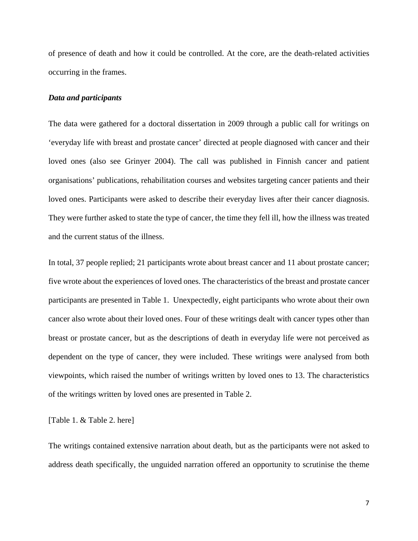of presence of death and how it could be controlled. At the core, are the death-related activities occurring in the frames.

## *Data and participants*

The data were gathered for a doctoral dissertation in 2009 through a public call for writings on 'everyday life with breast and prostate cancer' directed at people diagnosed with cancer and their loved ones (also see Grinyer 2004). The call was published in Finnish cancer and patient organisations' publications, rehabilitation courses and websites targeting cancer patients and their loved ones. Participants were asked to describe their everyday lives after their cancer diagnosis. They were further asked to state the type of cancer, the time they fell ill, how the illness was treated and the current status of the illness.

In total, 37 people replied; 21 participants wrote about breast cancer and 11 about prostate cancer; five wrote about the experiences of loved ones. The characteristics of the breast and prostate cancer participants are presented in Table 1. Unexpectedly, eight participants who wrote about their own cancer also wrote about their loved ones. Four of these writings dealt with cancer types other than breast or prostate cancer, but as the descriptions of death in everyday life were not perceived as dependent on the type of cancer, they were included. These writings were analysed from both viewpoints, which raised the number of writings written by loved ones to 13. The characteristics of the writings written by loved ones are presented in Table 2.

[Table 1. & Table 2. here]

The writings contained extensive narration about death, but as the participants were not asked to address death specifically, the unguided narration offered an opportunity to scrutinise the theme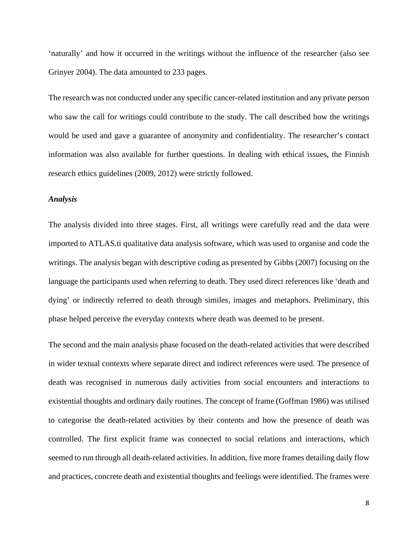'naturally' and how it occurred in the writings without the influence of the researcher (also see Grinyer 2004). The data amounted to 233 pages.

The research was not conducted under any specific cancer-related institution and any private person who saw the call for writings could contribute to the study. The call described how the writings would be used and gave a guarantee of anonymity and confidentiality. The researcher's contact information was also available for further questions. In dealing with ethical issues, the Finnish research ethics guidelines (2009, 2012) were strictly followed.

## *Analysis*

The analysis divided into three stages. First, all writings were carefully read and the data were imported to ATLAS.ti qualitative data analysis software, which was used to organise and code the writings. The analysis began with descriptive coding as presented by Gibbs (2007) focusing on the language the participants used when referring to death. They used direct references like 'death and dying' or indirectly referred to death through similes, images and metaphors. Preliminary, this phase helped perceive the everyday contexts where death was deemed to be present.

The second and the main analysis phase focused on the death-related activities that were described in wider textual contexts where separate direct and indirect references were used. The presence of death was recognised in numerous daily activities from social encounters and interactions to existential thoughts and ordinary daily routines. The concept of frame (Goffman 1986) was utilised to categorise the death-related activities by their contents and how the presence of death was controlled. The first explicit frame was connected to social relations and interactions, which seemed to run through all death-related activities. In addition, five more frames detailing daily flow and practices, concrete death and existential thoughts and feelings were identified. The frames were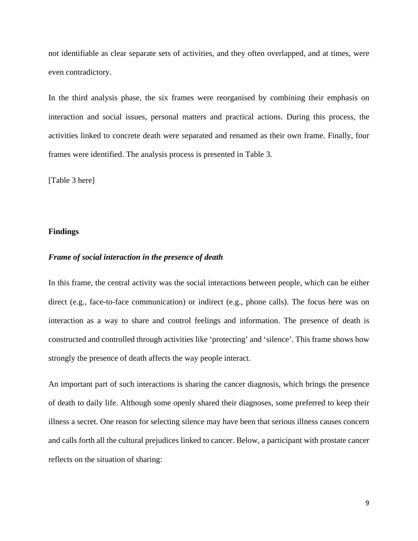not identifiable as clear separate sets of activities, and they often overlapped, and at times, were even contradictory.

In the third analysis phase, the six frames were reorganised by combining their emphasis on interaction and social issues, personal matters and practical actions. During this process, the activities linked to concrete death were separated and renamed as their own frame. Finally, four frames were identified. The analysis process is presented in Table 3.

[Table 3 here]

## **Findings**

## *Frame of social interaction in the presence of death*

In this frame, the central activity was the social interactions between people, which can be either direct (e.g., face-to-face communication) or indirect (e.g., phone calls). The focus here was on interaction as a way to share and control feelings and information. The presence of death is constructed and controlled through activities like 'protecting' and 'silence'. This frame shows how strongly the presence of death affects the way people interact.

An important part of such interactions is sharing the cancer diagnosis, which brings the presence of death to daily life. Although some openly shared their diagnoses, some preferred to keep their illness a secret. One reason for selecting silence may have been that serious illness causes concern and calls forth all the cultural prejudices linked to cancer. Below, a participant with prostate cancer reflects on the situation of sharing: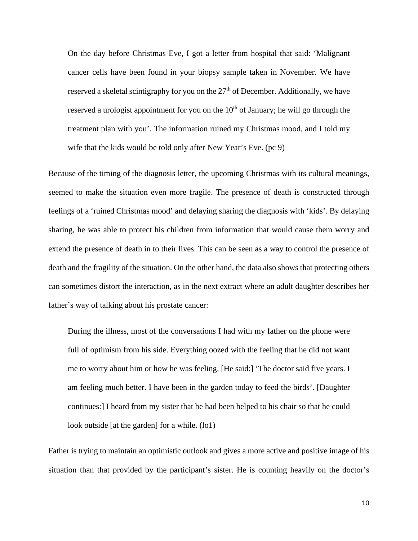On the day before Christmas Eve, I got a letter from hospital that said: 'Malignant cancer cells have been found in your biopsy sample taken in November. We have reserved a skeletal scintigraphy for you on the  $27<sup>th</sup>$  of December. Additionally, we have reserved a urologist appointment for you on the  $10<sup>th</sup>$  of January; he will go through the treatment plan with you'. The information ruined my Christmas mood, and I told my wife that the kids would be told only after New Year's Eve. (pc 9)

Because of the timing of the diagnosis letter, the upcoming Christmas with its cultural meanings, seemed to make the situation even more fragile. The presence of death is constructed through feelings of a 'ruined Christmas mood' and delaying sharing the diagnosis with 'kids'. By delaying sharing, he was able to protect his children from information that would cause them worry and extend the presence of death in to their lives. This can be seen as a way to control the presence of death and the fragility of the situation. On the other hand, the data also shows that protecting others can sometimes distort the interaction, as in the next extract where an adult daughter describes her father's way of talking about his prostate cancer:

During the illness, most of the conversations I had with my father on the phone were full of optimism from his side. Everything oozed with the feeling that he did not want me to worry about him or how he was feeling. [He said:] 'The doctor said five years. I am feeling much better. I have been in the garden today to feed the birds'. [Daughter continues:] I heard from my sister that he had been helped to his chair so that he could look outside [at the garden] for a while. (lo1)

Father is trying to maintain an optimistic outlook and gives a more active and positive image of his situation than that provided by the participant's sister. He is counting heavily on the doctor's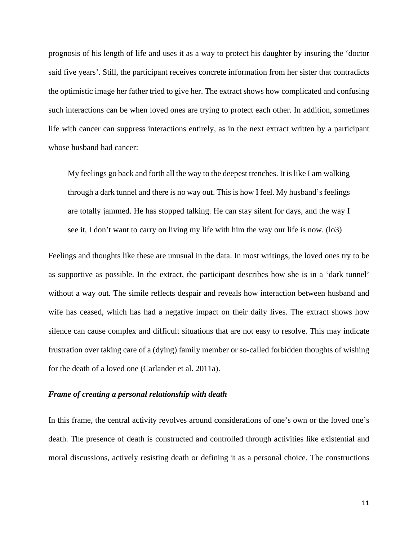prognosis of his length of life and uses it as a way to protect his daughter by insuring the 'doctor said five years'. Still, the participant receives concrete information from her sister that contradicts the optimistic image her father tried to give her. The extract shows how complicated and confusing such interactions can be when loved ones are trying to protect each other. In addition, sometimes life with cancer can suppress interactions entirely, as in the next extract written by a participant whose husband had cancer:

My feelings go back and forth all the way to the deepest trenches. It is like I am walking through a dark tunnel and there is no way out. This is how I feel. My husband's feelings are totally jammed. He has stopped talking. He can stay silent for days, and the way I see it, I don't want to carry on living my life with him the way our life is now. (lo3)

Feelings and thoughts like these are unusual in the data. In most writings, the loved ones try to be as supportive as possible. In the extract, the participant describes how she is in a 'dark tunnel' without a way out. The simile reflects despair and reveals how interaction between husband and wife has ceased, which has had a negative impact on their daily lives. The extract shows how silence can cause complex and difficult situations that are not easy to resolve. This may indicate frustration over taking care of a (dying) family member or so-called forbidden thoughts of wishing for the death of a loved one (Carlander et al. 2011a).

#### *Frame of creating a personal relationship with death*

In this frame, the central activity revolves around considerations of one's own or the loved one's death. The presence of death is constructed and controlled through activities like existential and moral discussions, actively resisting death or defining it as a personal choice. The constructions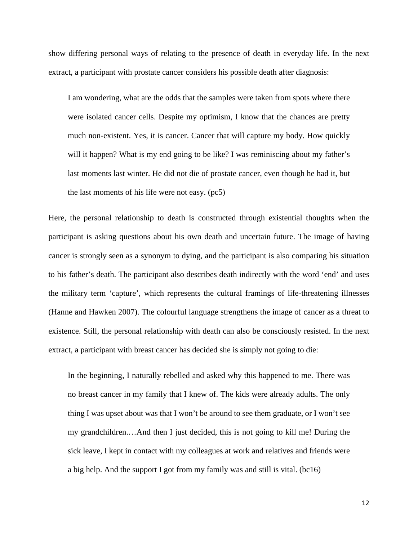show differing personal ways of relating to the presence of death in everyday life. In the next extract, a participant with prostate cancer considers his possible death after diagnosis:

I am wondering, what are the odds that the samples were taken from spots where there were isolated cancer cells. Despite my optimism, I know that the chances are pretty much non-existent. Yes, it is cancer. Cancer that will capture my body. How quickly will it happen? What is my end going to be like? I was reminiscing about my father's last moments last winter. He did not die of prostate cancer, even though he had it, but the last moments of his life were not easy. (pc5)

Here, the personal relationship to death is constructed through existential thoughts when the participant is asking questions about his own death and uncertain future. The image of having cancer is strongly seen as a synonym to dying, and the participant is also comparing his situation to his father's death. The participant also describes death indirectly with the word 'end' and uses the military term 'capture', which represents the cultural framings of life-threatening illnesses (Hanne and Hawken 2007). The colourful language strengthens the image of cancer as a threat to existence. Still, the personal relationship with death can also be consciously resisted. In the next extract, a participant with breast cancer has decided she is simply not going to die:

In the beginning, I naturally rebelled and asked why this happened to me. There was no breast cancer in my family that I knew of. The kids were already adults. The only thing I was upset about was that I won't be around to see them graduate, or I won't see my grandchildren.…And then I just decided, this is not going to kill me! During the sick leave, I kept in contact with my colleagues at work and relatives and friends were a big help. And the support I got from my family was and still is vital. (bc16)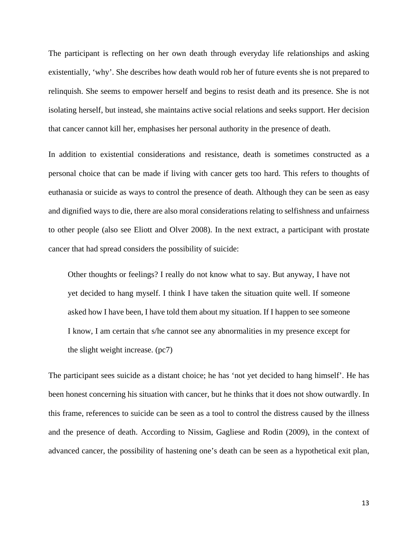The participant is reflecting on her own death through everyday life relationships and asking existentially, 'why'. She describes how death would rob her of future events she is not prepared to relinquish. She seems to empower herself and begins to resist death and its presence. She is not isolating herself, but instead, she maintains active social relations and seeks support. Her decision that cancer cannot kill her, emphasises her personal authority in the presence of death.

In addition to existential considerations and resistance, death is sometimes constructed as a personal choice that can be made if living with cancer gets too hard. This refers to thoughts of euthanasia or suicide as ways to control the presence of death. Although they can be seen as easy and dignified ways to die, there are also moral considerations relating to selfishness and unfairness to other people (also see Eliott and Olver 2008). In the next extract, a participant with prostate cancer that had spread considers the possibility of suicide:

Other thoughts or feelings? I really do not know what to say. But anyway, I have not yet decided to hang myself. I think I have taken the situation quite well. If someone asked how I have been, I have told them about my situation. If I happen to see someone I know, I am certain that s/he cannot see any abnormalities in my presence except for the slight weight increase. (pc7)

The participant sees suicide as a distant choice; he has 'not yet decided to hang himself'. He has been honest concerning his situation with cancer, but he thinks that it does not show outwardly. In this frame, references to suicide can be seen as a tool to control the distress caused by the illness and the presence of death. According to Nissim, Gagliese and Rodin (2009), in the context of advanced cancer, the possibility of hastening one's death can be seen as a hypothetical exit plan,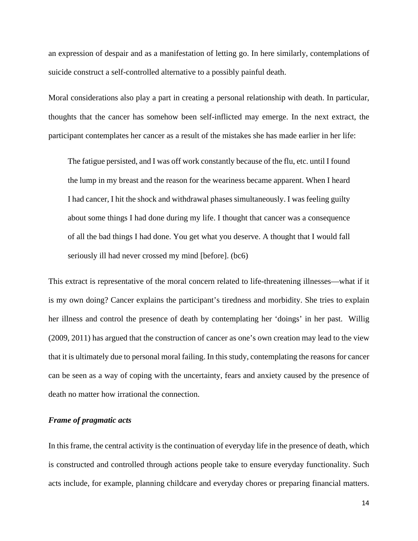an expression of despair and as a manifestation of letting go. In here similarly, contemplations of suicide construct a self-controlled alternative to a possibly painful death.

Moral considerations also play a part in creating a personal relationship with death. In particular, thoughts that the cancer has somehow been self-inflicted may emerge. In the next extract, the participant contemplates her cancer as a result of the mistakes she has made earlier in her life:

The fatigue persisted, and I was off work constantly because of the flu, etc. until I found the lump in my breast and the reason for the weariness became apparent. When I heard I had cancer, I hit the shock and withdrawal phases simultaneously. I was feeling guilty about some things I had done during my life. I thought that cancer was a consequence of all the bad things I had done. You get what you deserve. A thought that I would fall seriously ill had never crossed my mind [before]. (bc6)

This extract is representative of the moral concern related to life-threatening illnesses—what if it is my own doing? Cancer explains the participant's tiredness and morbidity. She tries to explain her illness and control the presence of death by contemplating her 'doings' in her past. Willig (2009, 2011) has argued that the construction of cancer as one's own creation may lead to the view that it is ultimately due to personal moral failing. In this study, contemplating the reasons for cancer can be seen as a way of coping with the uncertainty, fears and anxiety caused by the presence of death no matter how irrational the connection.

## *Frame of pragmatic acts*

In this frame, the central activity is the continuation of everyday life in the presence of death, which is constructed and controlled through actions people take to ensure everyday functionality. Such acts include, for example, planning childcare and everyday chores or preparing financial matters.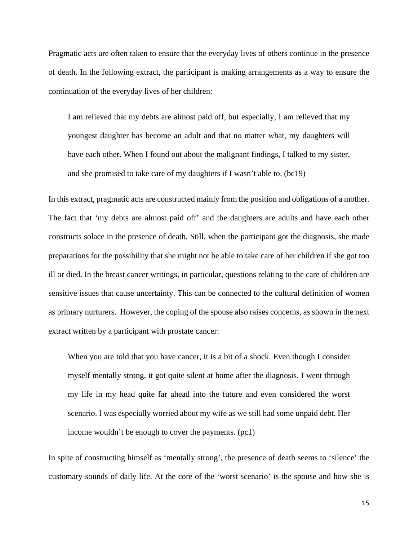Pragmatic acts are often taken to ensure that the everyday lives of others continue in the presence of death. In the following extract, the participant is making arrangements as a way to ensure the continuation of the everyday lives of her children:

I am relieved that my debts are almost paid off, but especially, I am relieved that my youngest daughter has become an adult and that no matter what, my daughters will have each other. When I found out about the malignant findings, I talked to my sister, and she promised to take care of my daughters if I wasn't able to. (bc19)

In this extract, pragmatic acts are constructed mainly from the position and obligations of a mother. The fact that 'my debts are almost paid off' and the daughters are adults and have each other constructs solace in the presence of death. Still, when the participant got the diagnosis, she made preparations for the possibility that she might not be able to take care of her children if she got too ill or died. In the breast cancer writings, in particular, questions relating to the care of children are sensitive issues that cause uncertainty. This can be connected to the cultural definition of women as primary nurturers. However, the coping of the spouse also raises concerns, as shown in the next extract written by a participant with prostate cancer:

When you are told that you have cancer, it is a bit of a shock. Even though I consider myself mentally strong, it got quite silent at home after the diagnosis. I went through my life in my head quite far ahead into the future and even considered the worst scenario. I was especially worried about my wife as we still had some unpaid debt. Her income wouldn't be enough to cover the payments. (pc1)

In spite of constructing himself as 'mentally strong', the presence of death seems to 'silence' the customary sounds of daily life. At the core of the 'worst scenario' is the spouse and how she is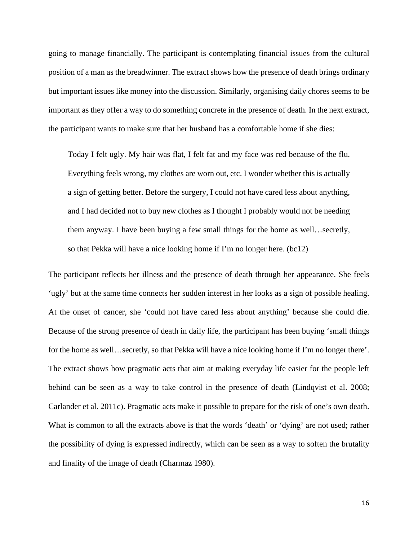going to manage financially. The participant is contemplating financial issues from the cultural position of a man as the breadwinner. The extract shows how the presence of death brings ordinary but important issues like money into the discussion. Similarly, organising daily chores seems to be important as they offer a way to do something concrete in the presence of death. In the next extract, the participant wants to make sure that her husband has a comfortable home if she dies:

Today I felt ugly. My hair was flat, I felt fat and my face was red because of the flu. Everything feels wrong, my clothes are worn out, etc. I wonder whether this is actually a sign of getting better. Before the surgery, I could not have cared less about anything, and I had decided not to buy new clothes as I thought I probably would not be needing them anyway. I have been buying a few small things for the home as well…secretly, so that Pekka will have a nice looking home if I'm no longer here. (bc12)

The participant reflects her illness and the presence of death through her appearance. She feels 'ugly' but at the same time connects her sudden interest in her looks as a sign of possible healing. At the onset of cancer, she 'could not have cared less about anything' because she could die. Because of the strong presence of death in daily life, the participant has been buying 'small things for the home as well…secretly, so that Pekka will have a nice looking home if I'm no longer there'. The extract shows how pragmatic acts that aim at making everyday life easier for the people left behind can be seen as a way to take control in the presence of death (Lindqvist et al. 2008; Carlander et al. 2011c). Pragmatic acts make it possible to prepare for the risk of one's own death. What is common to all the extracts above is that the words 'death' or 'dying' are not used; rather the possibility of dying is expressed indirectly, which can be seen as a way to soften the brutality and finality of the image of death (Charmaz 1980).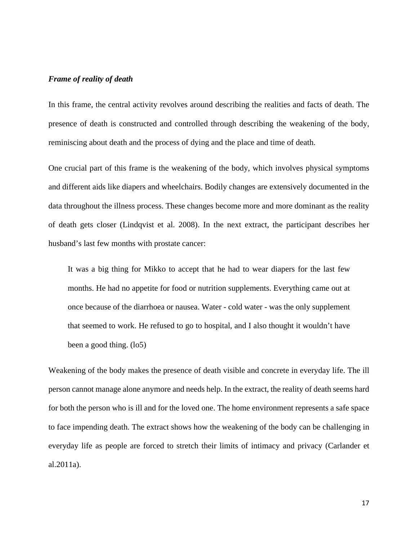#### *Frame of reality of death*

In this frame, the central activity revolves around describing the realities and facts of death. The presence of death is constructed and controlled through describing the weakening of the body, reminiscing about death and the process of dying and the place and time of death.

One crucial part of this frame is the weakening of the body, which involves physical symptoms and different aids like diapers and wheelchairs. Bodily changes are extensively documented in the data throughout the illness process. These changes become more and more dominant as the reality of death gets closer (Lindqvist et al. 2008). In the next extract, the participant describes her husband's last few months with prostate cancer:

It was a big thing for Mikko to accept that he had to wear diapers for the last few months. He had no appetite for food or nutrition supplements. Everything came out at once because of the diarrhoea or nausea. Water - cold water - was the only supplement that seemed to work. He refused to go to hospital, and I also thought it wouldn't have been a good thing. (lo5)

Weakening of the body makes the presence of death visible and concrete in everyday life. The ill person cannot manage alone anymore and needs help. In the extract, the reality of death seems hard for both the person who is ill and for the loved one. The home environment represents a safe space to face impending death. The extract shows how the weakening of the body can be challenging in everyday life as people are forced to stretch their limits of intimacy and privacy (Carlander et al.2011a).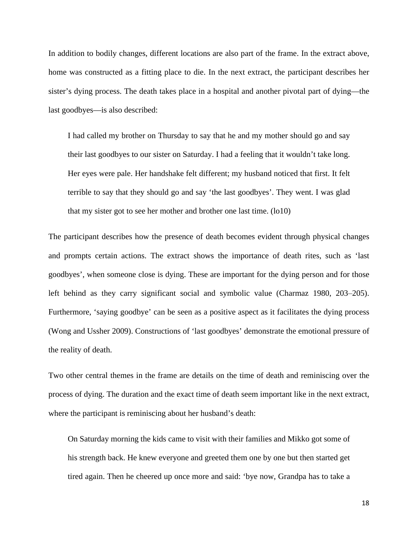In addition to bodily changes, different locations are also part of the frame. In the extract above, home was constructed as a fitting place to die. In the next extract, the participant describes her sister's dying process. The death takes place in a hospital and another pivotal part of dying—the last goodbyes—is also described:

I had called my brother on Thursday to say that he and my mother should go and say their last goodbyes to our sister on Saturday. I had a feeling that it wouldn't take long. Her eyes were pale. Her handshake felt different; my husband noticed that first. It felt terrible to say that they should go and say 'the last goodbyes'. They went. I was glad that my sister got to see her mother and brother one last time. (lo10)

The participant describes how the presence of death becomes evident through physical changes and prompts certain actions. The extract shows the importance of death rites, such as 'last goodbyes', when someone close is dying. These are important for the dying person and for those left behind as they carry significant social and symbolic value (Charmaz 1980, 203–205). Furthermore, 'saying goodbye' can be seen as a positive aspect as it facilitates the dying process (Wong and Ussher 2009). Constructions of 'last goodbyes' demonstrate the emotional pressure of the reality of death.

Two other central themes in the frame are details on the time of death and reminiscing over the process of dying. The duration and the exact time of death seem important like in the next extract, where the participant is reminiscing about her husband's death:

On Saturday morning the kids came to visit with their families and Mikko got some of his strength back. He knew everyone and greeted them one by one but then started get tired again. Then he cheered up once more and said: 'bye now, Grandpa has to take a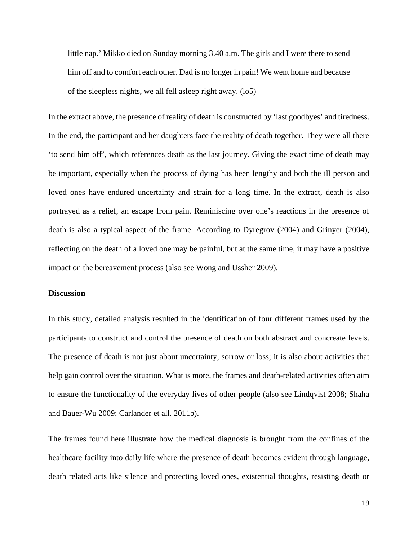little nap.' Mikko died on Sunday morning 3.40 a.m. The girls and I were there to send him off and to comfort each other. Dad is no longer in pain! We went home and because of the sleepless nights, we all fell asleep right away. (lo5)

In the extract above, the presence of reality of death is constructed by 'last goodbyes' and tiredness. In the end, the participant and her daughters face the reality of death together. They were all there 'to send him off', which references death as the last journey. Giving the exact time of death may be important, especially when the process of dying has been lengthy and both the ill person and loved ones have endured uncertainty and strain for a long time. In the extract, death is also portrayed as a relief, an escape from pain. Reminiscing over one's reactions in the presence of death is also a typical aspect of the frame. According to Dyregrov (2004) and Grinyer (2004), reflecting on the death of a loved one may be painful, but at the same time, it may have a positive impact on the bereavement process (also see Wong and Ussher 2009).

## **Discussion**

In this study, detailed analysis resulted in the identification of four different frames used by the participants to construct and control the presence of death on both abstract and concreate levels. The presence of death is not just about uncertainty, sorrow or loss; it is also about activities that help gain control over the situation. What is more, the frames and death-related activities often aim to ensure the functionality of the everyday lives of other people (also see Lindqvist 2008; Shaha and Bauer-Wu 2009; Carlander et all. 2011b).

The frames found here illustrate how the medical diagnosis is brought from the confines of the healthcare facility into daily life where the presence of death becomes evident through language, death related acts like silence and protecting loved ones, existential thoughts, resisting death or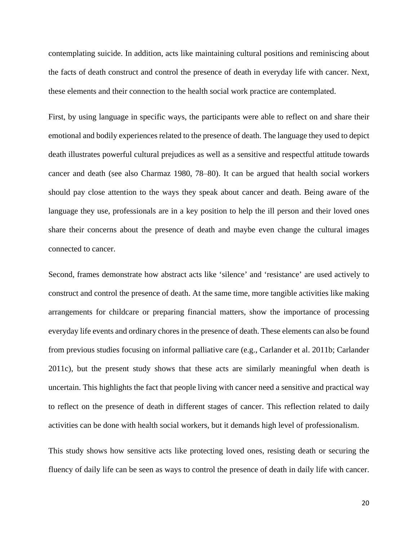contemplating suicide. In addition, acts like maintaining cultural positions and reminiscing about the facts of death construct and control the presence of death in everyday life with cancer. Next, these elements and their connection to the health social work practice are contemplated.

First, by using language in specific ways, the participants were able to reflect on and share their emotional and bodily experiences related to the presence of death. The language they used to depict death illustrates powerful cultural prejudices as well as a sensitive and respectful attitude towards cancer and death (see also Charmaz 1980, 78‒80). It can be argued that health social workers should pay close attention to the ways they speak about cancer and death. Being aware of the language they use, professionals are in a key position to help the ill person and their loved ones share their concerns about the presence of death and maybe even change the cultural images connected to cancer.

Second, frames demonstrate how abstract acts like 'silence' and 'resistance' are used actively to construct and control the presence of death. At the same time, more tangible activities like making arrangements for childcare or preparing financial matters, show the importance of processing everyday life events and ordinary chores in the presence of death. These elements can also be found from previous studies focusing on informal palliative care (e.g., Carlander et al. 2011b; Carlander 2011c), but the present study shows that these acts are similarly meaningful when death is uncertain. This highlights the fact that people living with cancer need a sensitive and practical way to reflect on the presence of death in different stages of cancer. This reflection related to daily activities can be done with health social workers, but it demands high level of professionalism.

This study shows how sensitive acts like protecting loved ones, resisting death or securing the fluency of daily life can be seen as ways to control the presence of death in daily life with cancer.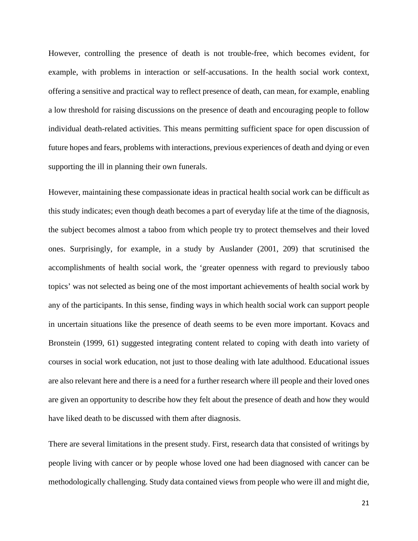However, controlling the presence of death is not trouble-free, which becomes evident, for example, with problems in interaction or self-accusations. In the health social work context, offering a sensitive and practical way to reflect presence of death, can mean, for example, enabling a low threshold for raising discussions on the presence of death and encouraging people to follow individual death-related activities. This means permitting sufficient space for open discussion of future hopes and fears, problems with interactions, previous experiences of death and dying or even supporting the ill in planning their own funerals.

However, maintaining these compassionate ideas in practical health social work can be difficult as this study indicates; even though death becomes a part of everyday life at the time of the diagnosis, the subject becomes almost a taboo from which people try to protect themselves and their loved ones. Surprisingly, for example, in a study by Auslander (2001, 209) that scrutinised the accomplishments of health social work, the 'greater openness with regard to previously taboo topics' was not selected as being one of the most important achievements of health social work by any of the participants. In this sense, finding ways in which health social work can support people in uncertain situations like the presence of death seems to be even more important. Kovacs and Bronstein (1999, 61) suggested integrating content related to coping with death into variety of courses in social work education, not just to those dealing with late adulthood. Educational issues are also relevant here and there is a need for a further research where ill people and their loved ones are given an opportunity to describe how they felt about the presence of death and how they would have liked death to be discussed with them after diagnosis.

There are several limitations in the present study. First, research data that consisted of writings by people living with cancer or by people whose loved one had been diagnosed with cancer can be methodologically challenging. Study data contained views from people who were ill and might die,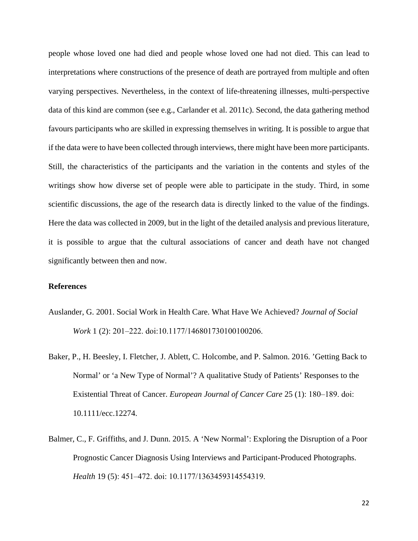people whose loved one had died and people whose loved one had not died. This can lead to interpretations where constructions of the presence of death are portrayed from multiple and often varying perspectives. Nevertheless, in the context of life-threatening illnesses, multi-perspective data of this kind are common (see e.g., Carlander et al. 2011c). Second, the data gathering method favours participants who are skilled in expressing themselves in writing. It is possible to argue that if the data were to have been collected through interviews, there might have been more participants. Still, the characteristics of the participants and the variation in the contents and styles of the writings show how diverse set of people were able to participate in the study. Third, in some scientific discussions, the age of the research data is directly linked to the value of the findings. Here the data was collected in 2009, but in the light of the detailed analysis and previous literature, it is possible to argue that the cultural associations of cancer and death have not changed significantly between then and now.

## **References**

- Auslander, G. 2001. Social Work in Health Care. What Have We Achieved? *Journal of Social Work* 1 (2): 201‒222. doi:10.1177/146801730100100206.
- Baker, P., H. Beesley, I. Fletcher, J. Ablett, C. Holcombe, and P. Salmon. 2016. 'Getting Back to Normal' or 'a New Type of Normal'? A qualitative Study of Patients' Responses to the Existential Threat of Cancer. *European Journal of Cancer Care* 25 (1): 180–189. doi: 10.1111/ecc.12274.
- Balmer, C., F. Griffiths, and J. Dunn. 2015. A 'New Normal': Exploring the Disruption of a Poor Prognostic Cancer Diagnosis Using Interviews and Participant-Produced Photographs. *Health* 19 (5): 451‒472. doi: 10.1177/1363459314554319.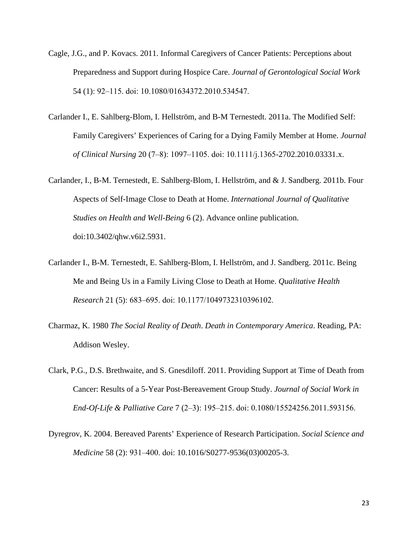- Cagle, J.G., and P. Kovacs. 2011. Informal Caregivers of Cancer Patients: Perceptions about Preparedness and Support during Hospice Care. *Journal of Gerontological Social Work* 54 (1): 92-115. doi: 10.1080/01634372.2010.534547.
- Carlander I., E. Sahlberg-Blom, I. Hellström, and B-M Ternestedt. 2011a. The Modified Self: Family Caregivers' Experiences of Caring for a Dying Family Member at Home. *Journal of Clinical Nursing* 20 (7‒8): 1097‒1105. doi: 10.1111/j.1365-2702.2010.03331.x.
- Carlander, I., B-M. Ternestedt, E. Sahlberg-Blom, I. Hellström, and & J. Sandberg. 2011b. Four Aspects of Self-Image Close to Death at Home. *International Journal of Qualitative Studies on Health and Well-Being* 6 (2). Advance online publication. doi:10.3402/qhw.v6i2.5931.
- Carlander I., B-M. Ternestedt, E. Sahlberg-Blom, I. Hellström, and J. Sandberg. 2011c. Being Me and Being Us in a Family Living Close to Death at Home. *Qualitative Health Research* 21 (5): 683‒695. doi: 10.1177/1049732310396102.
- Charmaz, K. 1980 *The Social Reality of Death*. *Death in Contemporary America*. Reading, PA: Addison Wesley.
- Clark, P.G., D.S. Brethwaite, and S. Gnesdiloff. 2011. Providing Support at Time of Death from Cancer: Results of a 5-Year Post-Bereavement Group Study. *Journal of Social Work in End-Of-Life & Palliative Care* 7 (2‒3): 195‒215. doi: 0.1080/15524256.2011.593156.
- Dyregrov, K. 2004. Bereaved Parents' Experience of Research Participation. *Social Science and Medicine* 58 (2): 931‒400. doi: 10.1016/S0277-9536(03)00205-3.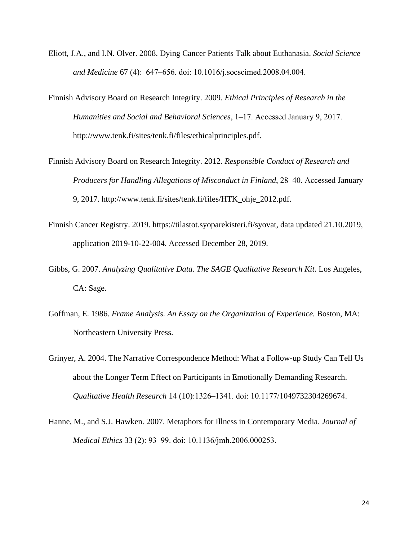- Eliott, J.A., and I.N. Olver. 2008. Dying Cancer Patients Talk about Euthanasia. *Social Science and Medicine* 67 (4): 647‒656. doi: 10.1016/j.socscimed.2008.04.004.
- Finnish Advisory Board on Research Integrity. 2009. *Ethical Principles of Research in the Humanities and Social and Behavioral Sciences*, 1–17. Accessed January 9, 2017. http://www.tenk.fi/sites/tenk.fi/files/ethicalprinciples.pdf.
- Finnish Advisory Board on Research Integrity. 2012. *Responsible Conduct of Research and Producers for Handling Allegations of Misconduct in Finland*, 28–40. Accessed January 9, 2017. http://www.tenk.fi/sites/tenk.fi/files/HTK\_ohje\_2012.pdf.
- Finnish Cancer Registry. 2019. https://tilastot.syoparekisteri.fi/syovat, data updated 21.10.2019, application 2019-10-22-004. Accessed December 28, 2019.
- Gibbs, G. 2007. *Analyzing Qualitative Data*. *The SAGE Qualitative Research Kit*. Los Angeles, CA: Sage.
- Goffman, E. 1986. *Frame Analysis. An Essay on the Organization of Experience.* Boston, MA: Northeastern University Press.
- Grinyer, A. 2004. The Narrative Correspondence Method: What a Follow-up Study Can Tell Us about the Longer Term Effect on Participants in Emotionally Demanding Research. *Qualitative Health Research* 14 (10):1326‒1341. doi: 10.1177/1049732304269674.
- Hanne, M., and S.J. Hawken. 2007. Metaphors for Illness in Contemporary Media. *Journal of Medical Ethics* 33 (2): 93‒99. doi: 10.1136/jmh.2006.000253.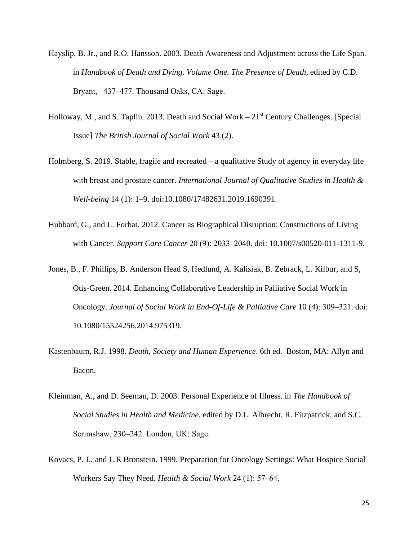- Hayslip, B. Jr., and R.O. Hansson. 2003. Death Awareness and Adjustment across the Life Span. in *Handbook of Death and Dying*. *Volume One. The Presence of Death*, edited by C.D. Bryant, 437–477. Thousand Oaks, CA: Sage.
- Holloway, M., and S. Taplin. 2013. Death and Social Work  $21<sup>st</sup>$  Century Challenges. [Special Issue] *The British Journal of Social Work* 43 (2).
- Holmberg, S. 2019. Stable, fragile and recreated a qualitative Study of agency in everyday life with breast and prostate cancer. *International Journal of Qualitative Studies in Health & Well-being* 14 (1): 1–9. doi:10.1080/17482631.2019.1690391.
- Hubbard, G., and L. Forbat. 2012. Cancer as Biographical Disruption: Constructions of Living with Cancer. *Support Care Cancer* 20 (9): 2033–2040. doi: 10.1007/s00520-011-1311-9.
- Jones, B., F. Phillips, B. Anderson Head S, Hedlund, A. Kalisiak, B. Zebrack, L. Kilbur, and S, Otis-Green. 2014. Enhancing Collaborative Leadership in Palliative Social Work in Oncology. *Journal of Social Work in End-Of-Life & Palliative Care* 10 (4): 309–321. doi: 10.1080/15524256.2014.975319.
- Kastenbaum, R.J. 1998. *Death, Society and Human Experience*. 6th ed. Boston, MA: Allyn and Bacon.
- Kleinman, A., and D. Seeman, D. 2003. Personal Experience of Illness. in *The Handbook of Social Studies in Health and Medicine*, edited by D.L. Albrecht, R. Fitzpatrick, and S.C. Scrimshaw, 230–242. London, UK: Sage.
- Kovacs, P. J., and L.R Bronstein. 1999. Preparation for Oncology Settings: What Hospice Social Workers Say They Need. *Health & Social Work* 24 (1): 57‒64.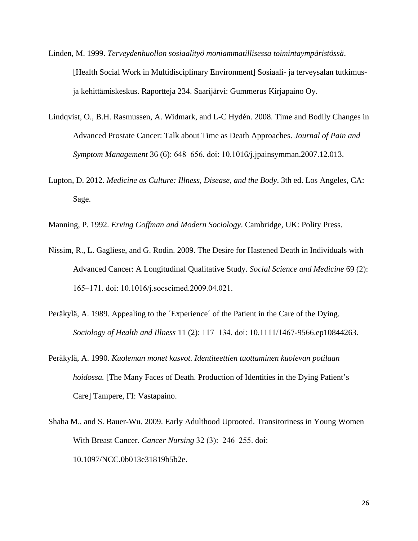- Linden, M. 1999. *Terveydenhuollon sosiaalityö moniammatillisessa toimintaympäristössä*. [Health Social Work in Multidisciplinary Environment] Sosiaali- ja terveysalan tutkimusja kehittämiskeskus. Raportteja 234. Saarijärvi: Gummerus Kirjapaino Oy.
- Lindqvist, O., B.H. Rasmussen, A. Widmark, and L-C Hydén. 2008. Time and Bodily Changes in Advanced Prostate Cancer: Talk about Time as Death Approaches. *Journal of Pain and Symptom Management* 36 (6): 648‒656. doi: 10.1016/j.jpainsymman.2007.12.013.
- Lupton, D. 2012. *Medicine as Culture: Illness, Disease, and the Body*. 3th ed. Los Angeles, CA: Sage.
- Manning, P. 1992. *Erving Goffman and Modern Sociology*. Cambridge, UK: Polity Press.
- Nissim, R., L. Gagliese, and G. Rodin. 2009. The Desire for Hastened Death in Individuals with Advanced Cancer: A Longitudinal Qualitative Study. *Social Science and Medicine* 69 (2): 165‒171. doi: 10.1016/j.socscimed.2009.04.021.
- Peräkylä, A. 1989. Appealing to the 'Experience' of the Patient in the Care of the Dying. *Sociology of Health and Illness* 11 (2): 117‒134. doi: 10.1111/1467-9566.ep10844263.
- Peräkylä, A. 1990. *Kuoleman monet kasvot. Identiteettien tuottaminen kuolevan potilaan hoidossa.* [The Many Faces of Death. Production of Identities in the Dying Patient's Care] Tampere, FI: Vastapaino.
- Shaha M., and S. Bauer-Wu. 2009. Early Adulthood Uprooted. Transitoriness in Young Women With Breast Cancer. *Cancer Nursing* 32 (3): 246–255. doi: 10.1097/NCC.0b013e31819b5b2e.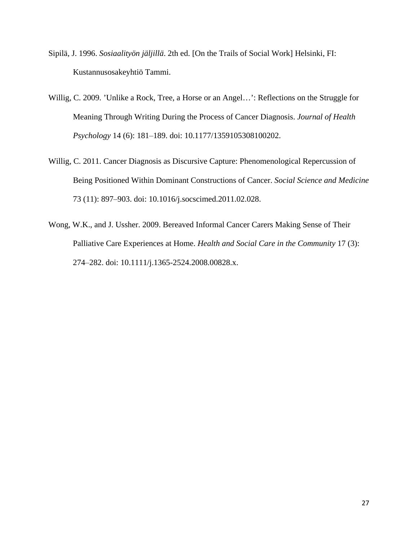- Sipilä, J. 1996. *Sosiaalityön jäljillä*. 2th ed. [On the Trails of Social Work] Helsinki, FI: Kustannusosakeyhtiö Tammi.
- Willig, C. 2009. 'Unlike a Rock, Tree, a Horse or an Angel...': Reflections on the Struggle for Meaning Through Writing During the Process of Cancer Diagnosis. *Journal of Health Psychology* 14 (6): 181‒189. doi: 10.1177/1359105308100202.
- Willig, C. 2011. Cancer Diagnosis as Discursive Capture: Phenomenological Repercussion of Being Positioned Within Dominant Constructions of Cancer. *Social Science and Medicine* 73 (11): 897‒903. doi: 10.1016/j.socscimed.2011.02.028.
- Wong, W.K., and J. Ussher. 2009. Bereaved Informal Cancer Carers Making Sense of Their Palliative Care Experiences at Home. *Health and Social Care in the Community* 17 (3): 274‒282. doi: 10.1111/j.1365-2524.2008.00828.x.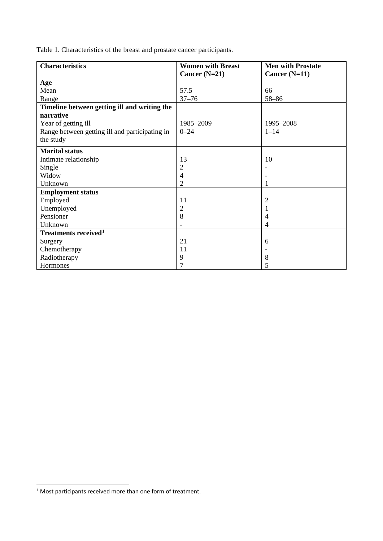Table 1. Characteristics of the breast and prostate cancer participants.

| <b>Characteristics</b>                         | <b>Women with Breast</b> | <b>Men with Prostate</b> |
|------------------------------------------------|--------------------------|--------------------------|
|                                                | Cancer $(N=21)$          | Cancer $(N=11)$          |
| Age                                            |                          |                          |
| Mean                                           | 57.5                     | 66                       |
| Range                                          | $37 - 76$                | 58-86                    |
| Timeline between getting ill and writing the   |                          |                          |
| narrative                                      |                          |                          |
| Year of getting ill                            | 1985-2009                | 1995-2008                |
| Range between getting ill and participating in | $0 - 24$                 | $1 - 14$                 |
| the study                                      |                          |                          |
| <b>Marital status</b>                          |                          |                          |
| Intimate relationship                          | 13                       | 10                       |
| Single                                         | $\overline{2}$           |                          |
| Widow                                          | $\overline{4}$           |                          |
| Unknown                                        | $\overline{2}$           |                          |
| <b>Employment status</b>                       |                          |                          |
| Employed                                       | 11                       | $\overline{2}$           |
| Unemployed                                     | $\overline{2}$           | 1                        |
| Pensioner                                      | 8                        | $\overline{4}$           |
| Unknown                                        |                          | $\overline{4}$           |
| Treatments received <sup>1</sup>               |                          |                          |
| Surgery                                        | 21                       | 6                        |
| Chemotherapy                                   | 11                       |                          |
| Radiotherapy                                   | 9                        | 8                        |
| Hormones                                       | 7                        | 5                        |

<span id="page-27-0"></span> $<sup>1</sup>$  Most participants received more than one form of treatment.</sup>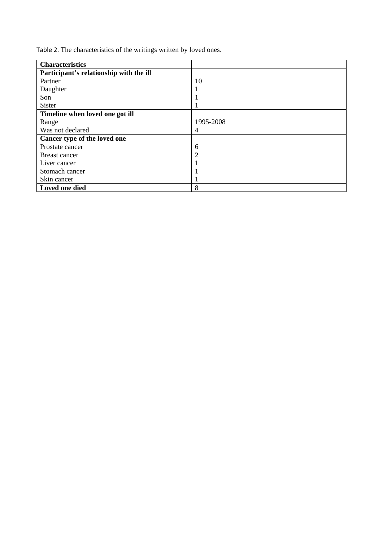Table 2. The characteristics of the writings written by loved ones.

| <b>Characteristics</b>                  |                |
|-----------------------------------------|----------------|
| Participant's relationship with the ill |                |
| Partner                                 | 10             |
| Daughter                                |                |
| Son                                     |                |
| <b>Sister</b>                           |                |
| Timeline when loved one got ill         |                |
| Range                                   | 1995-2008      |
| Was not declared                        | 4              |
| Cancer type of the loved one            |                |
| Prostate cancer                         | 6              |
| Breast cancer                           | $\overline{2}$ |
| Liver cancer                            |                |
| Stomach cancer                          |                |
| Skin cancer                             |                |
| Loved one died                          | 8              |